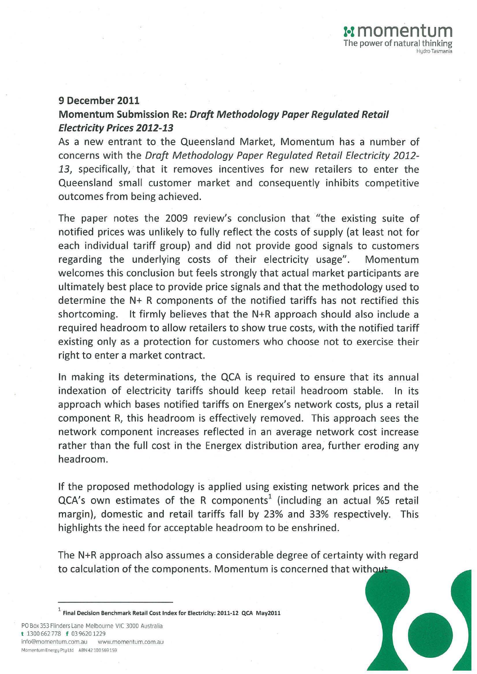## 9 December 2011

## Momentum Submission Re: Draft Methodology Paper Regulated Retail Electricity Prices 2012-13

As a new entrant to the Queensland Market, Momentum has a number of concerns with the *Draft Methodology Paper Regulated Retail Electricity 2012-* 13, specifically, that it removes incentives for new retailers to enter the Queensland small customer market and consequently inhibits competitive outcomes from being achieved.

The paper notes the 2009 review's conclusion that "the existing suite of notified prices was unlikely to fully reflect the costs of supply (at least not for each individual tariff group) and did not provide good signals to customers regarding the underlying costs of their electricity usage". Momentum welcomes this conclusion but feels strongly that actual market participants are ultimately best place to provide price signals and that the methodology used to determine the N+ R components of the notified tariffs has not rectified this shortcoming. It firmly believes that the N+R approach should also include a required headroom to allow retailers to show true costs, with the notified tariff existing only as a protection for customers who choose not to exercise their right to enter a market contract.

In making its determinations, the QCA is required to ensure that its annual indexation of electricity tariffs should keep retail headroom stable. In its approach which bases notified tariffs on Energex's network costs, plus a retail component R, this headroom is effectively removed. This approach sees the network component increases reflected in an average network cost increase rather than the full cost in the Energex distribution area, further eroding any headroom.

If the proposed methodology is applied using existing network prices and the  $QCA's$  own estimates of the R components<sup>1</sup> (including an actual %5 retail margin), domestic and retail tariffs fall by 23% and 33% respectively. This highlights the heed for acceptable headroom to be enshrined.

The N+R approach also assumes a considerable degree of certainty with regard to calculation of the components. Momentum is concerned that without

1 Final Decision Benchmark Retail Cost Index for Electricity: 2011-12 QCA May2011

PO Box 353 Flinders Lane Melbourne VIC 3000 Australia t 1300662778 f 039620 1229 info@momentum.(om.au www.momentum.com.au Momentum Energy Pty Ltd ABN 42 100 569 159